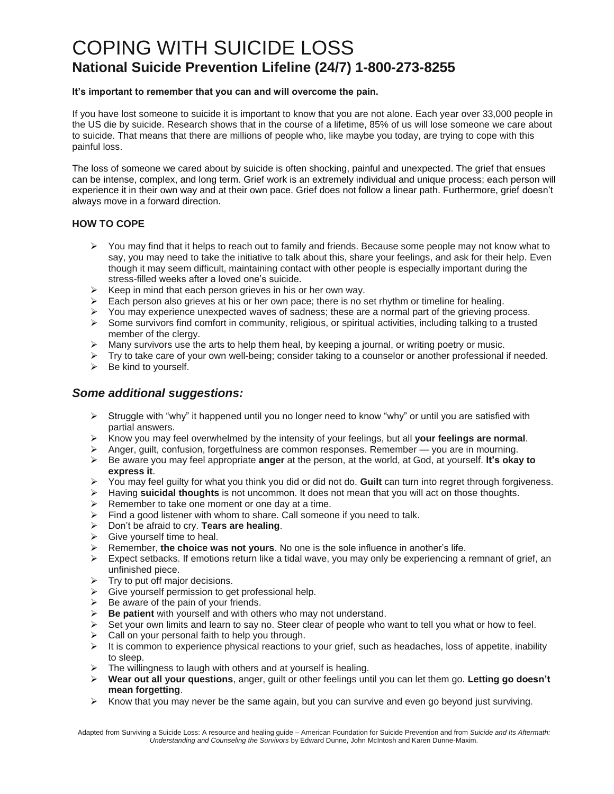# COPING WITH SUICIDE LOSS **National Suicide Prevention Lifeline (24/7) 1-800-273-8255**

### **It's important to remember that you can and will overcome the pain.**

If you have lost someone to suicide it is important to know that you are not alone. Each year over 33,000 people in the US die by suicide. Research shows that in the course of a lifetime, 85% of us will lose someone we care about to suicide. That means that there are millions of people who, like maybe you today, are trying to cope with this painful loss.

The loss of someone we cared about by suicide is often shocking, painful and unexpected. The grief that ensues can be intense, complex, and long term. Grief work is an extremely individual and unique process; each person will experience it in their own way and at their own pace. Grief does not follow a linear path. Furthermore, grief doesn't always move in a forward direction.

### **HOW TO COPE**

- $\triangleright$  You may find that it helps to reach out to family and friends. Because some people may not know what to say, you may need to take the initiative to talk about this, share your feelings, and ask for their help. Even though it may seem difficult, maintaining contact with other people is especially important during the stress-filled weeks after a loved one's suicide.
- $\triangleright$  Keep in mind that each person grieves in his or her own way.
- $\triangleright$  Each person also grieves at his or her own pace; there is no set rhythm or timeline for healing.
- $\triangleright$  You may experience unexpected waves of sadness; these are a normal part of the grieving process.
- $\triangleright$  Some survivors find comfort in community, religious, or spiritual activities, including talking to a trusted member of the clergy.
- $\triangleright$  Many survivors use the arts to help them heal, by keeping a journal, or writing poetry or music.
- > Try to take care of your own well-being; consider taking to a counselor or another professional if needed.
- $\triangleright$  Be kind to yourself.

## *Some additional suggestions:*

- $\triangleright$  Struggle with "why" it happened until you no longer need to know "why" or until you are satisfied with partial answers.
- Know you may feel overwhelmed by the intensity of your feelings, but all **your feelings are normal**.
- $\triangleright$  Anger, guilt, confusion, forgetfulness are common responses. Remember you are in mourning.
- Be aware you may feel appropriate **anger** at the person, at the world, at God, at yourself. **It's okay to express it**.
- You may feel guilty for what you think you did or did not do. **Guilt** can turn into regret through forgiveness.
- Having **suicidal thoughts** is not uncommon. It does not mean that you will act on those thoughts.
- $\triangleright$  Remember to take one moment or one day at a time.
- $\triangleright$  Find a good listener with whom to share. Call someone if you need to talk.
- Don't be afraid to cry. **Tears are healing**.
- $\triangleright$  Give yourself time to heal.
- $\triangleright$  Remember, the choice was not yours. No one is the sole influence in another's life.
- $\triangleright$  Expect setbacks. If emotions return like a tidal wave, you may only be experiencing a remnant of grief, an unfinished piece.
- $\triangleright$  Try to put off major decisions.
- $\triangleright$  Give yourself permission to get professional help.
- $\triangleright$  Be aware of the pain of your friends.<br> $\triangleright$  Be patient with yourself and with oth
- **Be patient** with yourself and with others who may not understand.
- $\triangleright$  Set your own limits and learn to say no. Steer clear of people who want to tell you what or how to feel.
- > Call on your personal faith to help you through.
- $\triangleright$  It is common to experience physical reactions to your grief, such as headaches, loss of appetite, inability to sleep.
- $\triangleright$  The willingness to laugh with others and at yourself is healing.
- **Wear out all your questions**, anger, guilt or other feelings until you can let them go. **Letting go doesn't mean forgetting**.
- $\triangleright$  Know that you may never be the same again, but you can survive and even go beyond just surviving.